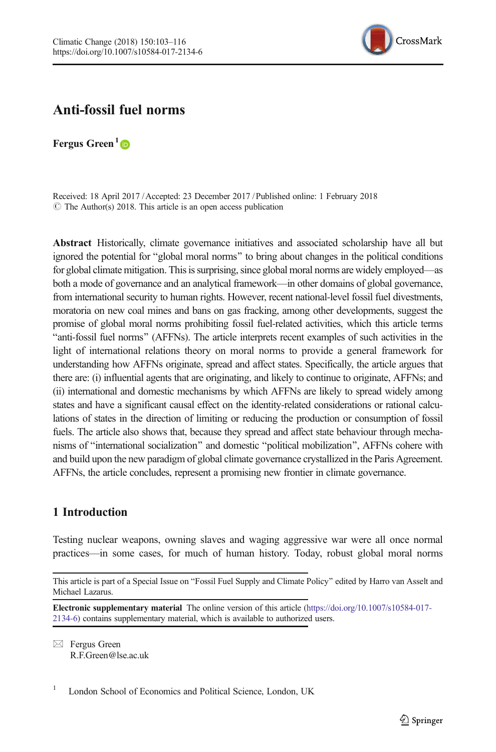

# <span id="page-0-0"></span>Anti-fossil fuel norms

Fergus Green<sup>1</sup>

Received: 18 April 2017 /Accepted: 23 December 2017 / Published online: 1 February 2018  $\circ$  The Author(s) 2018. This article is an open access publication

Abstract Historically, climate governance initiatives and associated scholarship have all but ignored the potential for "global moral norms" to bring about changes in the political conditions for global climate mitigation. This is surprising, since global moral norms are widely employed—as both a mode of governance and an analytical framework—in other domains of global governance, from international security to human rights. However, recent national-level fossil fuel divestments, moratoria on new coal mines and bans on gas fracking, among other developments, suggest the promise of global moral norms prohibiting fossil fuel-related activities, which this article terms "anti-fossil fuel norms" (AFFNs). The article interprets recent examples of such activities in the light of international relations theory on moral norms to provide a general framework for understanding how AFFNs originate, spread and affect states. Specifically, the article argues that there are: (i) influential agents that are originating, and likely to continue to originate, AFFNs; and (ii) international and domestic mechanisms by which AFFNs are likely to spread widely among states and have a significant causal effect on the identity-related considerations or rational calculations of states in the direction of limiting or reducing the production or consumption of fossil fuels. The article also shows that, because they spread and affect state behaviour through mechanisms of "international socialization" and domestic "political mobilization", AFFNs cohere with and build upon the new paradigm of global climate governance crystallized in the Paris Agreement. AFFNs, the article concludes, represent a promising new frontier in climate governance.

## 1 Introduction

Testing nuclear weapons, owning slaves and waging aggressive war were all once normal practices—in some cases, for much of human history. Today, robust global moral norms

 $\boxtimes$  Fergus Green [R.F.Green@lse.ac.uk](mailto:R.F.Green@lse.ac.uk)

<sup>1</sup> London School of Economics and Political Science, London, UK

This article is part of a Special Issue on "Fossil Fuel Supply and Climate Policy" edited by Harro van Asselt and Michael Lazarus.

Electronic supplementary material The online version of this article ([https://doi.org/10.1007/s10584-017-](https://doi.org/10.1007/s10584-017-2134-6) [2134-6\)](https://doi.org/10.1007/s10584-017-2134-6) contains supplementary material, which is available to authorized users.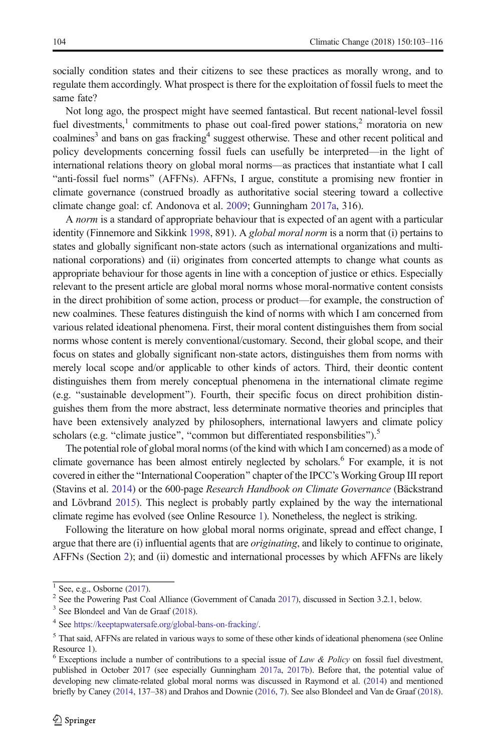socially condition states and their citizens to see these practices as morally wrong, and to regulate them accordingly. What prospect is there for the exploitation of fossil fuels to meet the same fate?

Not long ago, the prospect might have seemed fantastical. But recent national-level fossil fuel divestments,<sup>1</sup> commitments to phase out coal-fired power stations,<sup>2</sup> moratoria on new coalmines<sup>3</sup> and bans on gas fracking<sup>4</sup> suggest otherwise. These and other recent political and policy developments concerning fossil fuels can usefully be interpreted—in the light of international relations theory on global moral norms—as practices that instantiate what I call Banti-fossil fuel norms^ (AFFNs). AFFNs, I argue, constitute a promising new frontier in climate governance (construed broadly as authoritative social steering toward a collective climate change goal: cf. Andonova et al. [2009](#page-11-0); Gunningham [2017a](#page-12-0), 316).

A norm is a standard of appropriate behaviour that is expected of an agent with a particular identity (Finnemore and Sikkink [1998](#page-12-0), 891). A *global moral norm* is a norm that (i) pertains to states and globally significant non-state actors (such as international organizations and multinational corporations) and (ii) originates from concerted attempts to change what counts as appropriate behaviour for those agents in line with a conception of justice or ethics. Especially relevant to the present article are global moral norms whose moral-normative content consists in the direct prohibition of some action, process or product—for example, the construction of new coalmines. These features distinguish the kind of norms with which I am concerned from various related ideational phenomena. First, their moral content distinguishes them from social norms whose content is merely conventional/customary. Second, their global scope, and their focus on states and globally significant non-state actors, distinguishes them from norms with merely local scope and/or applicable to other kinds of actors. Third, their deontic content distinguishes them from merely conceptual phenomena in the international climate regime (e.g. Bsustainable development^). Fourth, their specific focus on direct prohibition distinguishes them from the more abstract, less determinate normative theories and principles that have been extensively analyzed by philosophers, international lawyers and climate policy scholars (e.g. "climate justice", "common but differentiated responsbilities").<sup>5</sup>

The potential role of global moral norms (of the kind with which I am concerned) as a mode of climate governance has been almost entirely neglected by scholars.<sup>6</sup> For example, it is not covered in either the "International Cooperation" chapter of the IPCC's Working Group III report (Stavins et al. [2014](#page-13-0)) or the 600-page Research Handbook on Climate Governance (Bäckstrand and Lövbrand [2015\)](#page-11-0). This neglect is probably partly explained by the way the international climate regime has evolved (see Online Resource 1). Nonetheless, the neglect is striking.

Following the literature on how global moral norms originate, spread and effect change, I argue that there are (i) influential agents that are *originating*, and likely to continue to originate, AFFNs (Section [2\)](#page-2-0); and (ii) domestic and international processes by which AFFNs are likely

 $\frac{1}{2}$  See, e.g., Osborne [\(2017](#page-13-0)). <sup>2</sup> See the Powering Past Coal Alliance (Government of Canada [2017](#page-12-0)), discussed in Section 3.2.1, below.

<sup>&</sup>lt;sup>3</sup> See Blondeel and Van de Graaf [\(2018\)](#page-11-0).

<sup>4</sup> See <https://keeptapwatersafe.org/global-bans-on-fracking/>.

<sup>&</sup>lt;sup>5</sup> That said, AFFNs are related in various ways to some of these other kinds of ideational phenomena (see Online Resource 1).

 $6$  Exceptions include a number of contributions to a special issue of Law & Policy on fossil fuel divestment, published in October 2017 (see especially Gunningham [2017a](#page-12-0), [2017b](#page-12-0)). Before that, the potential value of developing new climate-related global moral norms was discussed in Raymond et al. ([2014](#page-13-0)) and mentioned briefly by Caney ([2014](#page-11-0), 137–38) and Drahos and Downie ([2016](#page-12-0), 7). See also Blondeel and Van de Graaf ([2018](#page-11-0)).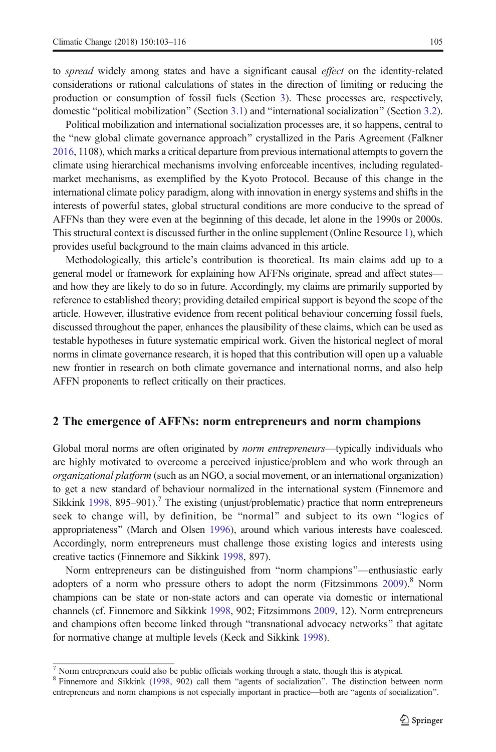<span id="page-2-0"></span>to *spread* widely among states and have a significant causal *effect* on the identity-related considerations or rational calculations of states in the direction of limiting or reducing the production or consumption of fossil fuels (Section [3](#page-3-0)). These processes are, respectively, domestic "political mobilization" (Section [3.1](#page-4-0)) and "international socialization" (Section [3.2](#page-7-0)).

Political mobilization and international socialization processes are, it so happens, central to the "new global climate governance approach" crystallized in the Paris Agreement (Falkner [2016](#page-12-0), 1108), which marks a critical departure from previous international attempts to govern the climate using hierarchical mechanisms involving enforceable incentives, including regulatedmarket mechanisms, as exemplified by the Kyoto Protocol. Because of this change in the international climate policy paradigm, along with innovation in energy systems and shifts in the interests of powerful states, global structural conditions are more conducive to the spread of AFFNs than they were even at the beginning of this decade, let alone in the 1990s or 2000s. This structural context is discussed further in the online supplement (Online Resource 1), which provides useful background to the main claims advanced in this article.

Methodologically, this article's contribution is theoretical. Its main claims add up to a general model or framework for explaining how AFFNs originate, spread and affect states and how they are likely to do so in future. Accordingly, my claims are primarily supported by reference to established theory; providing detailed empirical support is beyond the scope of the article. However, illustrative evidence from recent political behaviour concerning fossil fuels, discussed throughout the paper, enhances the plausibility of these claims, which can be used as testable hypotheses in future systematic empirical work. Given the historical neglect of moral norms in climate governance research, it is hoped that this contribution will open up a valuable new frontier in research on both climate governance and international norms, and also help AFFN proponents to reflect critically on their practices.

## 2 The emergence of AFFNs: norm entrepreneurs and norm champions

Global moral norms are often originated by *norm entrepreneurs*—typically individuals who are highly motivated to overcome a perceived injustice/problem and who work through an organizational platform (such as an NGO, a social movement, or an international organization) to get a new standard of behaviour normalized in the international system (Finnemore and Sikkink [1998,](#page-12-0) 895–901).<sup>7</sup> The existing (unjust/problematic) practice that norm entrepreneurs seek to change will, by definition, be "normal" and subject to its own "logics of appropriateness^ (March and Olsen [1996](#page-13-0)), around which various interests have coalesced. Accordingly, norm entrepreneurs must challenge those existing logics and interests using creative tactics (Finnemore and Sikkink [1998,](#page-12-0) 897).

Norm entrepreneurs can be distinguished from "norm champions"—enthusiastic early adopters of a norm who pressure others to adopt the norm (Fitzsimmons  $2009$ ).<sup>8</sup> Norm champions can be state or non-state actors and can operate via domestic or international channels (cf. Finnemore and Sikkink [1998](#page-12-0), 902; Fitzsimmons [2009,](#page-12-0) 12). Norm entrepreneurs and champions often become linked through "transnational advocacy networks" that agitate for normative change at multiple levels (Keck and Sikkink [1998\)](#page-12-0).

<sup>7</sup> Norm entrepreneurs could also be public officials working through a state, though this is atypical.

 $8$  Finnemore and Sikkink [\(1998,](#page-12-0) 902) call them "agents of socialization". The distinction between norm entrepreneurs and norm champions is not especially important in practice—both are "agents of socialization".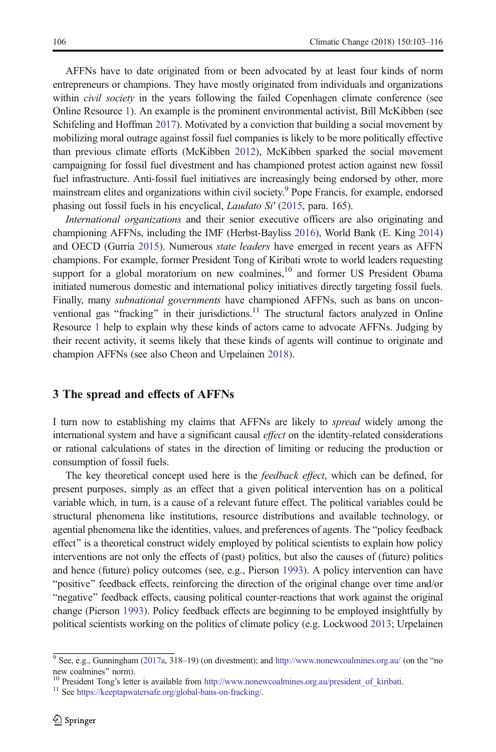<span id="page-3-0"></span>AFFNs have to date originated from or been advocated by at least four kinds of norm entrepreneurs or champions. They have mostly originated from individuals and organizations within *civil society* in the years following the failed Copenhagen climate conference (see Online Resource 1). An example is the prominent environmental activist, Bill McKibben (see Schifeling and Hoffman [2017](#page-13-0)). Motivated by a conviction that building a social movement by mobilizing moral outrage against fossil fuel companies is likely to be more politically effective than previous climate efforts (McKibben [2012\)](#page-13-0), McKibben sparked the social movement campaigning for fossil fuel divestment and has championed protest action against new fossil fuel infrastructure. Anti-fossil fuel initiatives are increasingly being endorsed by other, more mainstream elites and organizations within civil society.<sup>9</sup> Pope Francis, for example, endorsed phasing out fossil fuels in his encyclical, Laudato Si′ [\(2015,](#page-13-0) para. 165).

International organizations and their senior executive officers are also originating and championing AFFNs, including the IMF (Herbst-Bayliss [2016\)](#page-12-0), World Bank (E. King [2014\)](#page-12-0) and OECD (Gurría [2015](#page-12-0)). Numerous *state leaders* have emerged in recent years as AFFN champions. For example, former President Tong of Kiribati wrote to world leaders requesting support for a global moratorium on new coalmines, $10$  and former US President Obama initiated numerous domestic and international policy initiatives directly targeting fossil fuels. Finally, many *subnational governments* have championed AFFNs, such as bans on unconventional gas "fracking" in their jurisdictions.<sup>11</sup> The structural factors analyzed in Online Resource 1 help to explain why these kinds of actors came to advocate AFFNs. Judging by their recent activity, it seems likely that these kinds of agents will continue to originate and champion AFFNs (see also Cheon and Urpelainen [2018\)](#page-11-0).

## 3 The spread and effects of AFFNs

I turn now to establishing my claims that AFFNs are likely to spread widely among the international system and have a significant causal effect on the identity-related considerations or rational calculations of states in the direction of limiting or reducing the production or consumption of fossil fuels.

The key theoretical concept used here is the *feedback effect*, which can be defined, for present purposes, simply as an effect that a given political intervention has on a political variable which, in turn, is a cause of a relevant future effect. The political variables could be structural phenomena like institutions, resource distributions and available technology, or agential phenomena like the identities, values, and preferences of agents. The "policy feedback" effect" is a theoretical construct widely employed by political scientists to explain how policy interventions are not only the effects of (past) politics, but also the causes of (future) politics and hence (future) policy outcomes (see, e.g., Pierson [1993\)](#page-13-0). A policy intervention can have "positive" feedback effects, reinforcing the direction of the original change over time and/or "negative" feedback effects, causing political counter-reactions that work against the original change (Pierson [1993](#page-13-0)). Policy feedback effects are beginning to be employed insightfully by political scientists working on the politics of climate policy (e.g. Lockwood [2013;](#page-13-0) Urpelainen

 $9$  See, e.g., Gunningham [\(2017a](#page-12-0), 318-19) (on divestment); and <http://www.nonewcoalmines.org.au/> (on the "no new coalmines" norm). 10 President Tong's letter is available from [http://www.nonewcoalmines.org.au/president\\_of\\_kiribati.](http://www.nonewcoalmines.org.au/) 11 See [https://keeptapwatersafe.org/global-bans-on-fracking/.](https://keeptapwatersafe.org/global-bans-on-fracking/)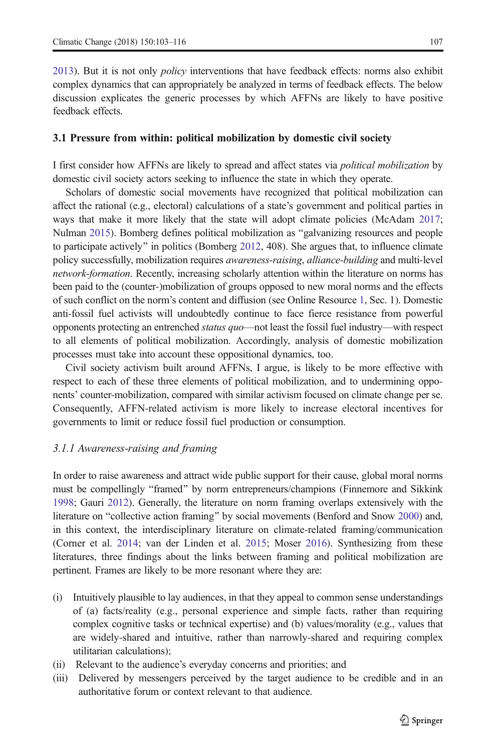<span id="page-4-0"></span>[2013](#page-13-0)). But it is not only *policy* interventions that have feedback effects: norms also exhibit complex dynamics that can appropriately be analyzed in terms of feedback effects. The below discussion explicates the generic processes by which AFFNs are likely to have positive feedback effects.

## 3.1 Pressure from within: political mobilization by domestic civil society

I first consider how AFFNs are likely to spread and affect states via political mobilization by domestic civil society actors seeking to influence the state in which they operate.

Scholars of domestic social movements have recognized that political mobilization can affect the rational (e.g., electoral) calculations of a state's government and political parties in ways that make it more likely that the state will adopt climate policies (McAdam [2017](#page-13-0); Nulman [2015\)](#page-13-0). Bomberg defines political mobilization as "galvanizing resources and people to participate actively" in politics (Bomberg [2012](#page-11-0), 408). She argues that, to influence climate policy successfully, mobilization requires awareness-raising, alliance-building and multi-level network-formation. Recently, increasing scholarly attention within the literature on norms has been paid to the (counter-)mobilization of groups opposed to new moral norms and the effects of such conflict on the norm's content and diffusion (see Online Resource 1, Sec. 1). Domestic anti-fossil fuel activists will undoubtedly continue to face fierce resistance from powerful opponents protecting an entrenched status quo—not least the fossil fuel industry—with respect to all elements of political mobilization. Accordingly, analysis of domestic mobilization processes must take into account these oppositional dynamics, too.

Civil society activism built around AFFNs, I argue, is likely to be more effective with respect to each of these three elements of political mobilization, and to undermining opponents' counter-mobilization, compared with similar activism focused on climate change per se. Consequently, AFFN-related activism is more likely to increase electoral incentives for governments to limit or reduce fossil fuel production or consumption.

## 3.1.1 Awareness-raising and framing

In order to raise awareness and attract wide public support for their cause, global moral norms must be compellingly "framed" by norm entrepreneurs/champions (Finnemore and Sikkink [1998](#page-12-0); Gauri [2012](#page-12-0)). Generally, the literature on norm framing overlaps extensively with the literature on "collective action framing" by social movements (Benford and Snow [2000](#page-11-0)) and, in this context, the interdisciplinary literature on climate-related framing/communication (Corner et al. [2014](#page-12-0); van der Linden et al. [2015](#page-13-0); Moser [2016\)](#page-13-0). Synthesizing from these literatures, three findings about the links between framing and political mobilization are pertinent. Frames are likely to be more resonant where they are:

- (i) Intuitively plausible to lay audiences, in that they appeal to common sense understandings of (a) facts/reality (e.g., personal experience and simple facts, rather than requiring complex cognitive tasks or technical expertise) and (b) values/morality (e.g., values that are widely-shared and intuitive, rather than narrowly-shared and requiring complex utilitarian calculations);
- (ii) Relevant to the audience's everyday concerns and priorities; and
- (iii) Delivered by messengers perceived by the target audience to be credible and in an authoritative forum or context relevant to that audience.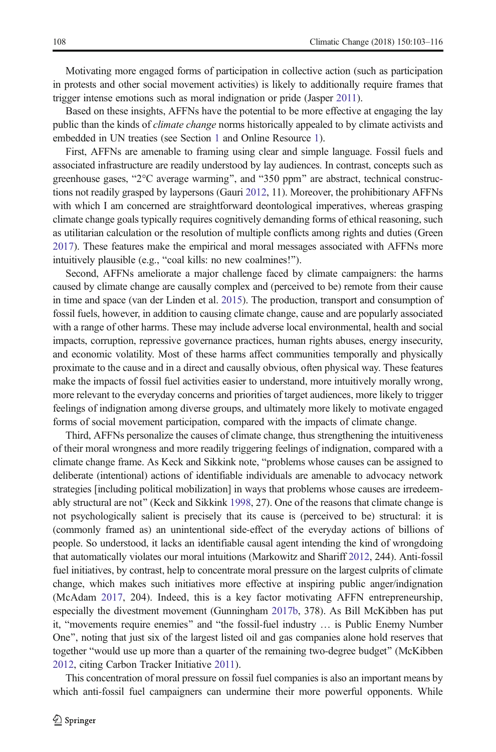Motivating more engaged forms of participation in collective action (such as participation in protests and other social movement activities) is likely to additionally require frames that trigger intense emotions such as moral indignation or pride (Jasper [2011](#page-12-0)).

Based on these insights, AFFNs have the potential to be more effective at engaging the lay public than the kinds of *climate change* norms historically appealed to by climate activists and embedded in UN treaties (see Section [1](#page-0-0) and Online Resource 1).

First, AFFNs are amenable to framing using clear and simple language. Fossil fuels and associated infrastructure are readily understood by lay audiences. In contrast, concepts such as greenhouse gases, " $2^{\circ}$ C average warming", and "350 ppm" are abstract, technical constructions not readily grasped by laypersons (Gauri [2012](#page-12-0), 11). Moreover, the prohibitionary AFFNs with which I am concerned are straightforward deontological imperatives, whereas grasping climate change goals typically requires cognitively demanding forms of ethical reasoning, such as utilitarian calculation or the resolution of multiple conflicts among rights and duties (Green [2017](#page-12-0)). These features make the empirical and moral messages associated with AFFNs more intuitively plausible (e.g., "coal kills: no new coalmines!").

Second, AFFNs ameliorate a major challenge faced by climate campaigners: the harms caused by climate change are causally complex and (perceived to be) remote from their cause in time and space (van der Linden et al. [2015\)](#page-13-0). The production, transport and consumption of fossil fuels, however, in addition to causing climate change, cause and are popularly associated with a range of other harms. These may include adverse local environmental, health and social impacts, corruption, repressive governance practices, human rights abuses, energy insecurity, and economic volatility. Most of these harms affect communities temporally and physically proximate to the cause and in a direct and causally obvious, often physical way. These features make the impacts of fossil fuel activities easier to understand, more intuitively morally wrong, more relevant to the everyday concerns and priorities of target audiences, more likely to trigger feelings of indignation among diverse groups, and ultimately more likely to motivate engaged forms of social movement participation, compared with the impacts of climate change.

Third, AFFNs personalize the causes of climate change, thus strengthening the intuitiveness of their moral wrongness and more readily triggering feelings of indignation, compared with a climate change frame. As Keck and Sikkink note, "problems whose causes can be assigned to deliberate (intentional) actions of identifiable individuals are amenable to advocacy network strategies [including political mobilization] in ways that problems whose causes are irredeem-ably structural are not" (Keck and Sikkink [1998](#page-12-0), 27). One of the reasons that climate change is not psychologically salient is precisely that its cause is (perceived to be) structural: it is (commonly framed as) an unintentional side-effect of the everyday actions of billions of people. So understood, it lacks an identifiable causal agent intending the kind of wrongdoing that automatically violates our moral intuitions (Markowitz and Shariff [2012,](#page-13-0) 244). Anti-fossil fuel initiatives, by contrast, help to concentrate moral pressure on the largest culprits of climate change, which makes such initiatives more effective at inspiring public anger/indignation (McAdam [2017,](#page-13-0) 204). Indeed, this is a key factor motivating AFFN entrepreneurship, especially the divestment movement (Gunningham [2017b](#page-12-0), 378). As Bill McKibben has put it, "movements require enemies" and "the fossil-fuel industry ... is Public Enemy Number One", noting that just six of the largest listed oil and gas companies alone hold reserves that together "would use up more than a quarter of the remaining two-degree budget" (McKibben [2012](#page-13-0), citing Carbon Tracker Initiative [2011](#page-11-0)).

This concentration of moral pressure on fossil fuel companies is also an important means by which anti-fossil fuel campaigners can undermine their more powerful opponents. While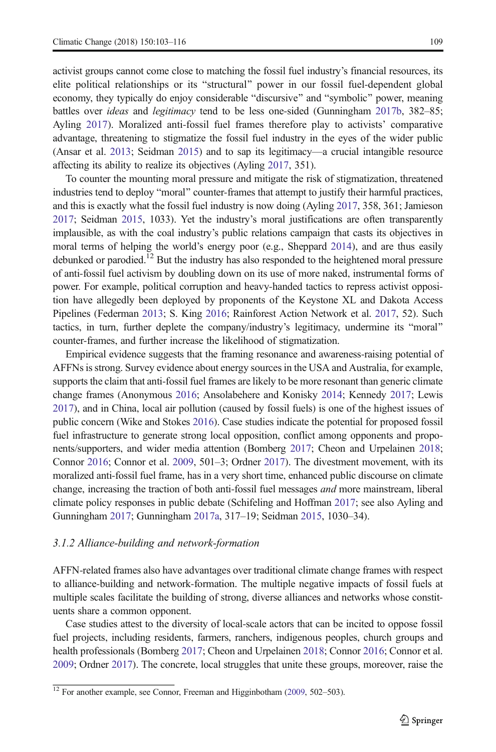activist groups cannot come close to matching the fossil fuel industry's financial resources, its elite political relationships or its "structural" power in our fossil fuel-dependent global economy, they typically do enjoy considerable "discursive" and "symbolic" power, meaning battles over ideas and legitimacy tend to be less one-sided (Gunningham [2017b,](#page-12-0) 382–85; Ayling [2017](#page-11-0)). Moralized anti-fossil fuel frames therefore play to activists' comparative advantage, threatening to stigmatize the fossil fuel industry in the eyes of the wider public (Ansar et al. [2013](#page-11-0); Seidman [2015](#page-13-0)) and to sap its legitimacy—a crucial intangible resource affecting its ability to realize its objectives (Ayling [2017,](#page-11-0) 351).

To counter the mounting moral pressure and mitigate the risk of stigmatization, threatened industries tend to deploy "moral" counter-frames that attempt to justify their harmful practices, and this is exactly what the fossil fuel industry is now doing (Ayling [2017,](#page-11-0) 358, 361; Jamieson [2017](#page-12-0); Seidman [2015](#page-13-0), 1033). Yet the industry's moral justifications are often transparently implausible, as with the coal industry's public relations campaign that casts its objectives in moral terms of helping the world's energy poor (e.g., Sheppard [2014\)](#page-13-0), and are thus easily debunked or parodied.<sup>12</sup> But the industry has also responded to the heightened moral pressure of anti-fossil fuel activism by doubling down on its use of more naked, instrumental forms of power. For example, political corruption and heavy-handed tactics to repress activist opposition have allegedly been deployed by proponents of the Keystone XL and Dakota Access Pipelines (Federman [2013;](#page-12-0) S. King [2016;](#page-12-0) Rainforest Action Network et al. [2017](#page-13-0), 52). Such tactics, in turn, further deplete the company/industry's legitimacy, undermine its "moral" counter-frames, and further increase the likelihood of stigmatization.

Empirical evidence suggests that the framing resonance and awareness-raising potential of AFFNs is strong. Survey evidence about energy sources in the USA and Australia, for example, supports the claim that anti-fossil fuel frames are likely to be more resonant than generic climate change frames (Anonymous [2016](#page-11-0); Ansolabehere and Konisky [2014](#page-11-0); Kennedy [2017](#page-12-0); Lewis [2017](#page-12-0)), and in China, local air pollution (caused by fossil fuels) is one of the highest issues of public concern (Wike and Stokes [2016](#page-13-0)). Case studies indicate the potential for proposed fossil fuel infrastructure to generate strong local opposition, conflict among opponents and proponents/supporters, and wider media attention (Bomberg [2017;](#page-11-0) Cheon and Urpelainen [2018](#page-11-0); Connor [2016;](#page-12-0) Connor et al. [2009](#page-12-0), 501–3; Ordner [2017\)](#page-13-0). The divestment movement, with its moralized anti-fossil fuel frame, has in a very short time, enhanced public discourse on climate change, increasing the traction of both anti-fossil fuel messages *and* more mainstream, liberal climate policy responses in public debate (Schifeling and Hoffman [2017](#page-13-0); see also Ayling and Gunningham [2017](#page-11-0); Gunningham [2017a](#page-12-0), 317–19; Seidman [2015](#page-13-0), 1030–34).

#### 3.1.2 Alliance-building and network-formation

AFFN-related frames also have advantages over traditional climate change frames with respect to alliance-building and network-formation. The multiple negative impacts of fossil fuels at multiple scales facilitate the building of strong, diverse alliances and networks whose constituents share a common opponent.

Case studies attest to the diversity of local-scale actors that can be incited to oppose fossil fuel projects, including residents, farmers, ranchers, indigenous peoples, church groups and health professionals (Bomberg [2017](#page-11-0); Cheon and Urpelainen [2018](#page-11-0); Connor [2016](#page-12-0); Connor et al. [2009](#page-12-0); Ordner [2017](#page-13-0)). The concrete, local struggles that unite these groups, moreover, raise the

 $\frac{12}{12}$  For another example, see Connor, Freeman and Higginbotham ([2009](#page-12-0), 502–503).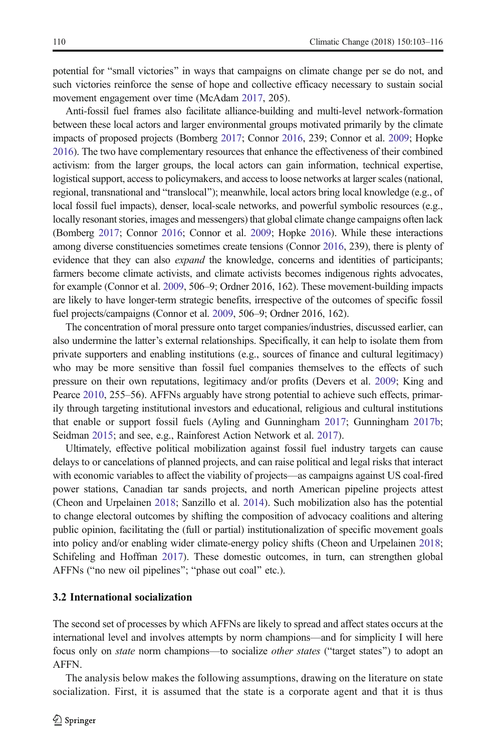<span id="page-7-0"></span>potential for "small victories" in ways that campaigns on climate change per se do not, and such victories reinforce the sense of hope and collective efficacy necessary to sustain social movement engagement over time (McAdam [2017,](#page-13-0) 205).

Anti-fossil fuel frames also facilitate alliance-building and multi-level network-formation between these local actors and larger environmental groups motivated primarily by the climate impacts of proposed projects (Bomberg [2017](#page-11-0); Connor [2016](#page-12-0), 239; Connor et al. [2009;](#page-12-0) Hopke [2016](#page-12-0)). The two have complementary resources that enhance the effectiveness of their combined activism: from the larger groups, the local actors can gain information, technical expertise, logistical support, access to policymakers, and access to loose networks at larger scales (national, regional, transnational and "translocal"); meanwhile, local actors bring local knowledge (e.g., of local fossil fuel impacts), denser, local-scale networks, and powerful symbolic resources (e.g., locally resonant stories, images and messengers) that global climate change campaigns often lack (Bomberg [2017;](#page-11-0) Connor [2016;](#page-12-0) Connor et al. [2009](#page-12-0); Hopke [2016](#page-12-0)). While these interactions among diverse constituencies sometimes create tensions (Connor [2016,](#page-12-0) 239), there is plenty of evidence that they can also *expand* the knowledge, concerns and identities of participants; farmers become climate activists, and climate activists becomes indigenous rights advocates, for example (Connor et al. [2009,](#page-12-0) 506–9; Ordner 2016, 162). These movement-building impacts are likely to have longer-term strategic benefits, irrespective of the outcomes of specific fossil fuel projects/campaigns (Connor et al. [2009,](#page-12-0) 506–9; Ordner 2016, 162).

The concentration of moral pressure onto target companies/industries, discussed earlier, can also undermine the latter's external relationships. Specifically, it can help to isolate them from private supporters and enabling institutions (e.g., sources of finance and cultural legitimacy) who may be more sensitive than fossil fuel companies themselves to the effects of such pressure on their own reputations, legitimacy and/or profits (Devers et al. [2009;](#page-12-0) King and Pearce [2010](#page-12-0), 255–56). AFFNs arguably have strong potential to achieve such effects, primarily through targeting institutional investors and educational, religious and cultural institutions that enable or support fossil fuels (Ayling and Gunningham [2017;](#page-11-0) Gunningham [2017b](#page-12-0); Seidman [2015](#page-13-0); and see, e.g., Rainforest Action Network et al. [2017\)](#page-13-0).

Ultimately, effective political mobilization against fossil fuel industry targets can cause delays to or cancelations of planned projects, and can raise political and legal risks that interact with economic variables to affect the viability of projects—as campaigns against US coal-fired power stations, Canadian tar sands projects, and north American pipeline projects attest (Cheon and Urpelainen [2018;](#page-11-0) Sanzillo et al. [2014](#page-13-0)). Such mobilization also has the potential to change electoral outcomes by shifting the composition of advocacy coalitions and altering public opinion, facilitating the (full or partial) institutionalization of specific movement goals into policy and/or enabling wider climate-energy policy shifts (Cheon and Urpelainen [2018](#page-11-0); Schifeling and Hoffman [2017](#page-13-0)). These domestic outcomes, in turn, can strengthen global AFFNs ("no new oil pipelines"; "phase out coal" etc.).

## 3.2 International socialization

The second set of processes by which AFFNs are likely to spread and affect states occurs at the international level and involves attempts by norm champions—and for simplicity I will here focus only on *state* norm champions—to socialize *other states* ("target states") to adopt an AFFN.

The analysis below makes the following assumptions, drawing on the literature on state socialization. First, it is assumed that the state is a corporate agent and that it is thus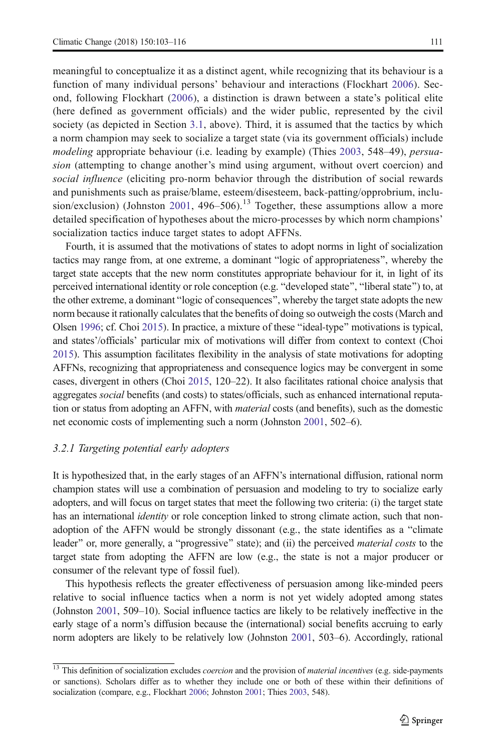meaningful to conceptualize it as a distinct agent, while recognizing that its behaviour is a function of many individual persons' behaviour and interactions (Flockhart [2006\)](#page-12-0). Second, following Flockhart ([2006](#page-12-0)), a distinction is drawn between a state's political elite (here defined as government officials) and the wider public, represented by the civil society (as depicted in Section [3.1,](#page-4-0) above). Third, it is assumed that the tactics by which a norm champion may seek to socialize a target state (via its government officials) include modeling appropriate behaviour (i.e. leading by example) (Thies [2003](#page-13-0), 548–49), *persua*sion (attempting to change another's mind using argument, without overt coercion) and social influence (eliciting pro-norm behavior through the distribution of social rewards and punishments such as praise/blame, esteem/disesteem, back-patting/opprobrium, inclu-sion/exclusion) (Johnston [2001,](#page-12-0) 496–506).<sup>13</sup> Together, these assumptions allow a more detailed specification of hypotheses about the micro-processes by which norm champions' socialization tactics induce target states to adopt AFFNs.

Fourth, it is assumed that the motivations of states to adopt norms in light of socialization tactics may range from, at one extreme, a dominant "logic of appropriateness", whereby the target state accepts that the new norm constitutes appropriate behaviour for it, in light of its perceived international identity or role conception (e.g. "developed state", "liberal state") to, at the other extreme, a dominant "logic of consequences", whereby the target state adopts the new norm because it rationally calculates that the benefits of doing so outweigh the costs (March and Olsen [1996](#page-13-0); cf. Choi [2015\)](#page-11-0). In practice, a mixture of these "ideal-type" motivations is typical, and states'/officials' particular mix of motivations will differ from context to context (Choi [2015](#page-11-0)). This assumption facilitates flexibility in the analysis of state motivations for adopting AFFNs, recognizing that appropriateness and consequence logics may be convergent in some cases, divergent in others (Choi [2015](#page-11-0), 120–22). It also facilitates rational choice analysis that aggregates social benefits (and costs) to states/officials, such as enhanced international reputation or status from adopting an AFFN, with *material* costs (and benefits), such as the domestic net economic costs of implementing such a norm (Johnston [2001,](#page-12-0) 502–6).

## 3.2.1 Targeting potential early adopters

It is hypothesized that, in the early stages of an AFFN's international diffusion, rational norm champion states will use a combination of persuasion and modeling to try to socialize early adopters, and will focus on target states that meet the following two criteria: (i) the target state has an international *identity* or role conception linked to strong climate action, such that nonadoption of the AFFN would be strongly dissonant  $(e.g., the state identities as a "climate"$ leader" or, more generally, a "progressive" state); and (ii) the perceived *material costs* to the target state from adopting the AFFN are low (e.g., the state is not a major producer or consumer of the relevant type of fossil fuel).

This hypothesis reflects the greater effectiveness of persuasion among like-minded peers relative to social influence tactics when a norm is not yet widely adopted among states (Johnston [2001,](#page-12-0) 509–10). Social influence tactics are likely to be relatively ineffective in the early stage of a norm's diffusion because the (international) social benefits accruing to early norm adopters are likely to be relatively low (Johnston [2001,](#page-12-0) 503–6). Accordingly, rational

<sup>&</sup>lt;sup>13</sup> This definition of socialization excludes *coercion* and the provision of *material incentives* (e.g. side-payments or sanctions). Scholars differ as to whether they include one or both of these within their definitions of socialization (compare, e.g., Flockhart [2006](#page-12-0); Johnston [2001;](#page-12-0) Thies [2003](#page-13-0), 548).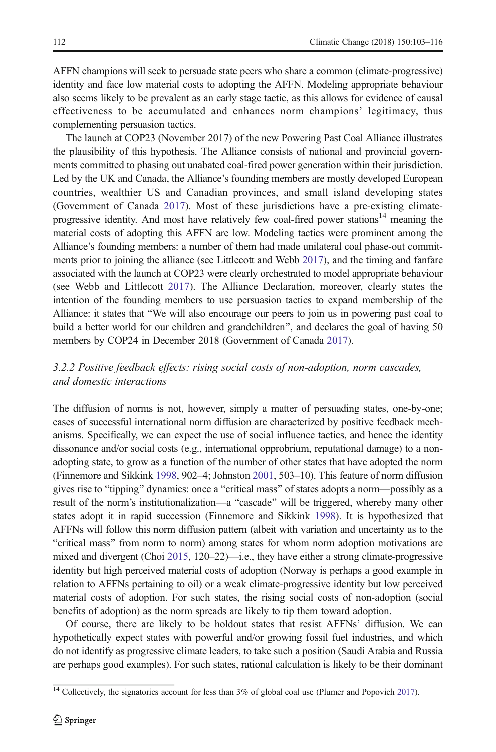AFFN champions will seek to persuade state peers who share a common (climate-progressive) identity and face low material costs to adopting the AFFN. Modeling appropriate behaviour also seems likely to be prevalent as an early stage tactic, as this allows for evidence of causal effectiveness to be accumulated and enhances norm champions' legitimacy, thus complementing persuasion tactics.

The launch at COP23 (November 2017) of the new Powering Past Coal Alliance illustrates the plausibility of this hypothesis. The Alliance consists of national and provincial governments committed to phasing out unabated coal-fired power generation within their jurisdiction. Led by the UK and Canada, the Alliance's founding members are mostly developed European countries, wealthier US and Canadian provinces, and small island developing states (Government of Canada [2017](#page-12-0)). Most of these jurisdictions have a pre-existing climateprogressive identity. And most have relatively few coal-fired power stations<sup>14</sup> meaning the material costs of adopting this AFFN are low. Modeling tactics were prominent among the Alliance's founding members: a number of them had made unilateral coal phase-out commitments prior to joining the alliance (see Littlecott and Webb [2017\)](#page-12-0), and the timing and fanfare associated with the launch at COP23 were clearly orchestrated to model appropriate behaviour (see Webb and Littlecott [2017](#page-13-0)). The Alliance Declaration, moreover, clearly states the intention of the founding members to use persuasion tactics to expand membership of the Alliance: it states that "We will also encourage our peers to join us in powering past coal to build a better world for our children and grandchildren", and declares the goal of having 50 members by COP24 in December 2018 (Government of Canada [2017](#page-12-0)).

## 3.2.2 Positive feedback effects: rising social costs of non-adoption, norm cascades, and domestic interactions

The diffusion of norms is not, however, simply a matter of persuading states, one-by-one; cases of successful international norm diffusion are characterized by positive feedback mechanisms. Specifically, we can expect the use of social influence tactics, and hence the identity dissonance and/or social costs (e.g., international opprobrium, reputational damage) to a nonadopting state, to grow as a function of the number of other states that have adopted the norm (Finnemore and Sikkink [1998,](#page-12-0) 902–4; Johnston [2001](#page-12-0), 503–10). This feature of norm diffusion gives rise to "tipping" dynamics: once a "critical mass" of states adopts a norm—possibly as a result of the norm's institutionalization—a "cascade" will be triggered, whereby many other states adopt it in rapid succession (Finnemore and Sikkink [1998](#page-12-0)). It is hypothesized that AFFNs will follow this norm diffusion pattern (albeit with variation and uncertainty as to the "critical mass" from norm to norm) among states for whom norm adoption motivations are mixed and divergent (Choi [2015,](#page-11-0) 120–22)—i.e., they have either a strong climate-progressive identity but high perceived material costs of adoption (Norway is perhaps a good example in relation to AFFNs pertaining to oil) or a weak climate-progressive identity but low perceived material costs of adoption. For such states, the rising social costs of non-adoption (social benefits of adoption) as the norm spreads are likely to tip them toward adoption.

Of course, there are likely to be holdout states that resist AFFNs' diffusion. We can hypothetically expect states with powerful and/or growing fossil fuel industries, and which do not identify as progressive climate leaders, to take such a position (Saudi Arabia and Russia are perhaps good examples). For such states, rational calculation is likely to be their dominant

<sup>&</sup>lt;sup>14</sup> Collectively, the signatories account for less than 3% of global coal use (Plumer and Popovich [2017\)](#page-13-0).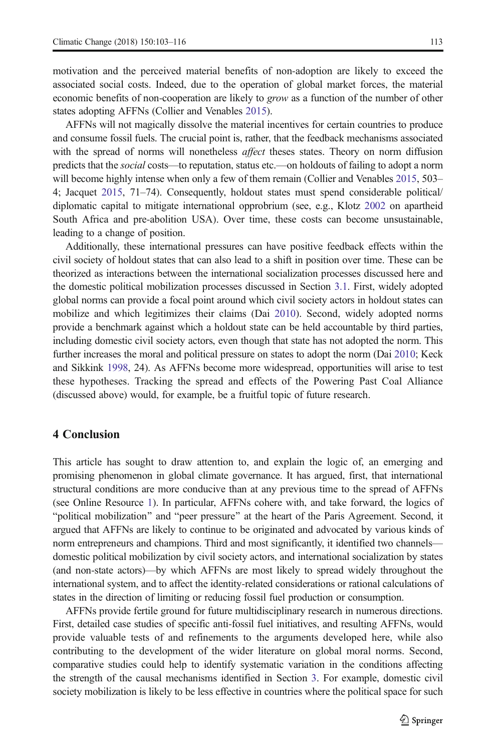motivation and the perceived material benefits of non-adoption are likely to exceed the associated social costs. Indeed, due to the operation of global market forces, the material economic benefits of non-cooperation are likely to *grow* as a function of the number of other states adopting AFFNs (Collier and Venables [2015](#page-11-0)).

AFFNs will not magically dissolve the material incentives for certain countries to produce and consume fossil fuels. The crucial point is, rather, that the feedback mechanisms associated with the spread of norms will nonetheless *affect* theses states. Theory on norm diffusion predicts that the *social* costs—to reputation, status etc.—on holdouts of failing to adopt a norm will become highly intense when only a few of them remain (Collier and Venables [2015](#page-11-0), 503– 4; Jacquet [2015,](#page-12-0) 71–74). Consequently, holdout states must spend considerable political/ diplomatic capital to mitigate international opprobrium (see, e.g., Klotz [2002](#page-12-0) on apartheid South Africa and pre-abolition USA). Over time, these costs can become unsustainable, leading to a change of position.

Additionally, these international pressures can have positive feedback effects within the civil society of holdout states that can also lead to a shift in position over time. These can be theorized as interactions between the international socialization processes discussed here and the domestic political mobilization processes discussed in Section [3.1.](#page-4-0) First, widely adopted global norms can provide a focal point around which civil society actors in holdout states can mobilize and which legitimizes their claims (Dai [2010](#page-12-0)). Second, widely adopted norms provide a benchmark against which a holdout state can be held accountable by third parties, including domestic civil society actors, even though that state has not adopted the norm. This further increases the moral and political pressure on states to adopt the norm (Dai [2010](#page-12-0); Keck and Sikkink [1998](#page-12-0), 24). As AFFNs become more widespread, opportunities will arise to test these hypotheses. Tracking the spread and effects of the Powering Past Coal Alliance (discussed above) would, for example, be a fruitful topic of future research.

## 4 Conclusion

This article has sought to draw attention to, and explain the logic of, an emerging and promising phenomenon in global climate governance. It has argued, first, that international structural conditions are more conducive than at any previous time to the spread of AFFNs (see Online Resource 1). In particular, AFFNs cohere with, and take forward, the logics of "political mobilization" and "peer pressure" at the heart of the Paris Agreement. Second, it argued that AFFNs are likely to continue to be originated and advocated by various kinds of norm entrepreneurs and champions. Third and most significantly, it identified two channels domestic political mobilization by civil society actors, and international socialization by states (and non-state actors)—by which AFFNs are most likely to spread widely throughout the international system, and to affect the identity-related considerations or rational calculations of states in the direction of limiting or reducing fossil fuel production or consumption.

AFFNs provide fertile ground for future multidisciplinary research in numerous directions. First, detailed case studies of specific anti-fossil fuel initiatives, and resulting AFFNs, would provide valuable tests of and refinements to the arguments developed here, while also contributing to the development of the wider literature on global moral norms. Second, comparative studies could help to identify systematic variation in the conditions affecting the strength of the causal mechanisms identified in Section [3.](#page-3-0) For example, domestic civil society mobilization is likely to be less effective in countries where the political space for such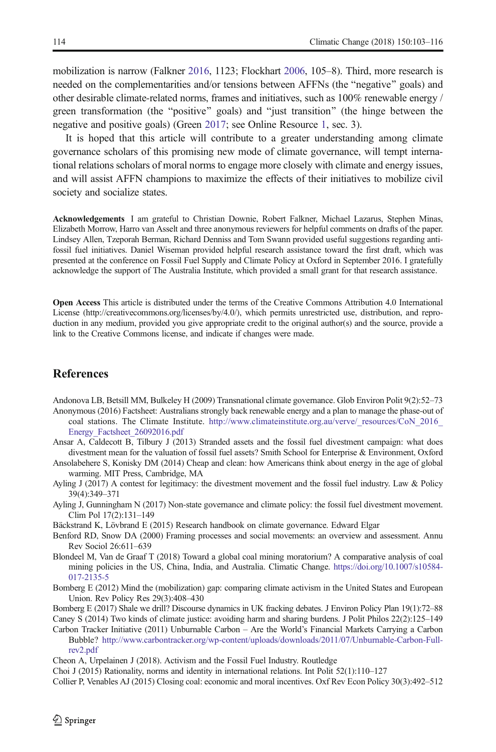<span id="page-11-0"></span>mobilization is narrow (Falkner [2016](#page-12-0), 1123; Flockhart [2006](#page-12-0), 105–8). Third, more research is needed on the complementarities and/or tensions between AFFNs (the "negative" goals) and other desirable climate-related norms, frames and initiatives, such as 100% renewable energy / green transformation (the "positive" goals) and "just transition" (the hinge between the negative and positive goals) (Green [2017](#page-12-0); see Online Resource 1, sec. 3).

It is hoped that this article will contribute to a greater understanding among climate governance scholars of this promising new mode of climate governance, will tempt international relations scholars of moral norms to engage more closely with climate and energy issues, and will assist AFFN champions to maximize the effects of their initiatives to mobilize civil society and socialize states.

Acknowledgements I am grateful to Christian Downie, Robert Falkner, Michael Lazarus, Stephen Minas, Elizabeth Morrow, Harro van Asselt and three anonymous reviewers for helpful comments on drafts of the paper. Lindsey Allen, Tzeporah Berman, Richard Denniss and Tom Swann provided useful suggestions regarding antifossil fuel initiatives. Daniel Wiseman provided helpful research assistance toward the first draft, which was presented at the conference on Fossil Fuel Supply and Climate Policy at Oxford in September 2016. I gratefully acknowledge the support of The Australia Institute, which provided a small grant for that research assistance.

Open Access This article is distributed under the terms of the Creative Commons Attribution 4.0 International License (http://creativecommons.org/licenses/by/4.0/), which permits unrestricted use, distribution, and reproduction in any medium, provided you give appropriate credit to the original author(s) and the source, provide a link to the Creative Commons license, and indicate if changes were made.

## **References**

Andonova LB, Betsill MM, Bulkeley H (2009) Transnational climate governance. Glob Environ Polit 9(2):52–73 Anonymous (2016) Factsheet: Australians strongly back renewable energy and a plan to manage the phase-out of

- coal stations. The Climate Institute. [http://www.climateinstitute.org.au/verve/\\_resources/CoN\\_2016\\_](http://www.climateinstitute.org.au/verve/_resources/CoN_2016_Energy_Factsheet_26092016.pdf) [Energy\\_Factsheet\\_26092016.pdf](http://www.climateinstitute.org.au/verve/_resources/CoN_2016_Energy_Factsheet_26092016.pdf)
- Ansar A, Caldecott B, Tilbury J (2013) Stranded assets and the fossil fuel divestment campaign: what does divestment mean for the valuation of fossil fuel assets? Smith School for Enterprise & Environment, Oxford
- Ansolabehere S, Konisky DM (2014) Cheap and clean: how Americans think about energy in the age of global warming. MIT Press, Cambridge, MA
- Ayling J (2017) A contest for legitimacy: the divestment movement and the fossil fuel industry. Law & Policy 39(4):349–371
- Ayling J, Gunningham N (2017) Non-state governance and climate policy: the fossil fuel divestment movement. Clim Pol 17(2):131–149
- Bäckstrand K, Lövbrand E (2015) Research handbook on climate governance. Edward Elgar
- Benford RD, Snow DA (2000) Framing processes and social movements: an overview and assessment. Annu Rev Sociol 26:611–639
- Blondeel M, Van de Graaf T (2018) Toward a global coal mining moratorium? A comparative analysis of coal mining policies in the US, China, India, and Australia. Climatic Change. [https://doi.org/10.1007/s10584-](https://doi.org/10.1007/s10584-017-2135-5) [017-2135-5](https://doi.org/10.1007/s10584-017-2135-5)
- Bomberg E (2012) Mind the (mobilization) gap: comparing climate activism in the United States and European Union. Rev Policy Res 29(3):408–430
- Bomberg E (2017) Shale we drill? Discourse dynamics in UK fracking debates. J Environ Policy Plan 19(1):72–88
- Caney S (2014) Two kinds of climate justice: avoiding harm and sharing burdens. J Polit Philos 22(2):125–149
- Carbon Tracker Initiative (2011) Unburnable Carbon Are the World's Financial Markets Carrying a Carbon Bubble? [http://www.carbontracker.org/wp-content/uploads/downloads/2011/07/Unburnable-Carbon-Full](http://www.carbontracker.org/wp-content/uploads/downloads/2011/07/Unburnable-Carbon-Full-rev2.pdf)[rev2.pdf](http://www.carbontracker.org/wp-content/uploads/downloads/2011/07/Unburnable-Carbon-Full-rev2.pdf)
- Cheon A, Urpelainen J (2018). Activism and the Fossil Fuel Industry. Routledge

Choi J (2015) Rationality, norms and identity in international relations. Int Polit 52(1):110–127

Collier P, Venables AJ (2015) Closing coal: economic and moral incentives. Oxf Rev Econ Policy 30(3):492–512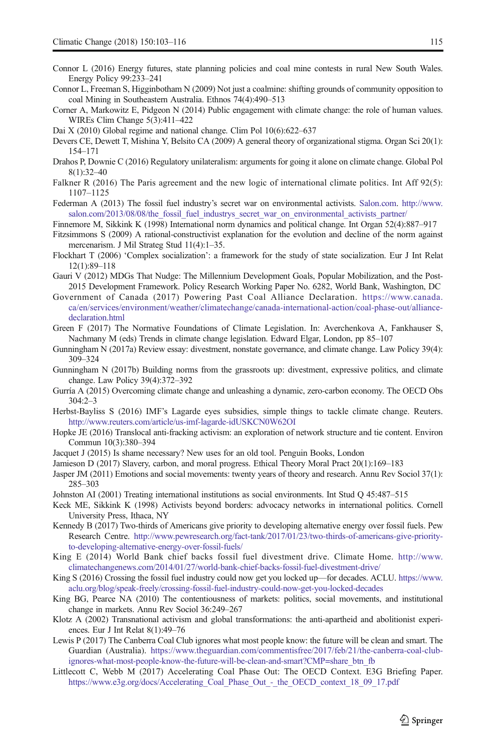- <span id="page-12-0"></span>Connor L (2016) Energy futures, state planning policies and coal mine contests in rural New South Wales. Energy Policy 99:233–241
- Connor L, Freeman S, Higginbotham N (2009) Not just a coalmine: shifting grounds of community opposition to coal Mining in Southeastern Australia. Ethnos 74(4):490–513
- Corner A, Markowitz E, Pidgeon N (2014) Public engagement with climate change: the role of human values. WIREs Clim Change 5(3):411–422
- Dai X (2010) Global regime and national change. Clim Pol 10(6):622–637
- Devers CE, Dewett T, Mishina Y, Belsito CA (2009) A general theory of organizational stigma. Organ Sci 20(1): 154–171
- Drahos P, Downie C (2016) Regulatory unilateralism: arguments for going it alone on climate change. Global Pol 8(1):32–40
- Falkner R (2016) The Paris agreement and the new logic of international climate politics. Int Aff 92(5): 1107–1125
- Federman A (2013) The fossil fuel industry's secret war on environmental activists. [Salon.com](http://salon.com). [http://www.](http://www.salon.com/2013/08/08/the_fossil_fuel_industrys_secret_war_on_environmental_activists_partner/) [salon.com/2013/08/08/the\\_fossil\\_fuel\\_industrys\\_secret\\_war\\_on\\_environmental\\_activists\\_partner/](http://www.salon.com/2013/08/08/the_fossil_fuel_industrys_secret_war_on_environmental_activists_partner/)
- Finnemore M, Sikkink K (1998) International norm dynamics and political change. Int Organ 52(4):887–917
- Fitzsimmons S (2009) A rational-constructivist explanation for the evolution and decline of the norm against mercenarism. J Mil Strateg Stud 11(4):1–35.
- Flockhart T (2006) 'Complex socialization': a framework for the study of state socialization. Eur J Int Relat 12(1):89–118
- Gauri V (2012) MDGs That Nudge: The Millennium Development Goals, Popular Mobilization, and the Post-2015 Development Framework. Policy Research Working Paper No. 6282, World Bank, Washington, DC
- Government of Canada (2017) Powering Past Coal Alliance Declaration. [https://www.canada.](https://www.canada.ca/en/services/environment/weather/climatechange/canada-international-action/coal-phase-out/alliance-declaration.html) [ca/en/services/environment/weather/climatechange/canada-international-action/coal-phase-out/alliance](https://www.canada.ca/en/services/environment/weather/climatechange/canada-international-action/coal-phase-out/alliance-declaration.html)[declaration.html](https://www.canada.ca/en/services/environment/weather/climatechange/canada-international-action/coal-phase-out/alliance-declaration.html)
- Green F (2017) The Normative Foundations of Climate Legislation. In: Averchenkova A, Fankhauser S, Nachmany M (eds) Trends in climate change legislation. Edward Elgar, London, pp 85–107
- Gunningham N (2017a) Review essay: divestment, nonstate governance, and climate change. Law Policy 39(4): 309–324
- Gunningham N (2017b) Building norms from the grassroots up: divestment, expressive politics, and climate change. Law Policy 39(4):372–392
- Gurría A (2015) Overcoming climate change and unleashing a dynamic, zero-carbon economy. The OECD Obs 304:2–3
- Herbst-Bayliss S (2016) IMF's Lagarde eyes subsidies, simple things to tackle climate change. Reuters. <http://www.reuters.com/article/us-imf-lagarde-idUSKCN0W62OI>
- Hopke JE (2016) Translocal anti-fracking activism: an exploration of network structure and tie content. Environ Commun 10(3):380–394
- Jacquet J (2015) Is shame necessary? New uses for an old tool. Penguin Books, London
- Jamieson D (2017) Slavery, carbon, and moral progress. Ethical Theory Moral Pract 20(1):169–183
- Jasper JM (2011) Emotions and social movements: twenty years of theory and research. Annu Rev Sociol 37(1): 285–303
- Johnston AI (2001) Treating international institutions as social environments. Int Stud Q 45:487–515
- Keck ME, Sikkink K (1998) Activists beyond borders: advocacy networks in international politics. Cornell University Press, Ithaca, NY
- Kennedy B (2017) Two-thirds of Americans give priority to developing alternative energy over fossil fuels. Pew Research Centre. [http://www.pewresearch.org/fact-tank/2017/01/23/two-thirds-of-americans-give-priority](http://www.pewresearch.org/fact-tank/2017/01/23/two-thirds-of-americans-give-priority-to-developing-alternative-energy-over-fossil-fuels/)[to-developing-alternative-energy-over-fossil-fuels/](http://www.pewresearch.org/fact-tank/2017/01/23/two-thirds-of-americans-give-priority-to-developing-alternative-energy-over-fossil-fuels/)
- King E (2014) World Bank chief backs fossil fuel divestment drive. Climate Home. [http://www.](http://www.climatechangenews.com/2014/01/27/world-bank-chief-backs-fossil-fuel-divestment-drive/) [climatechangenews.com/2014/01/27/world-bank-chief-backs-fossil-fuel-divestment-drive/](http://www.climatechangenews.com/2014/01/27/world-bank-chief-backs-fossil-fuel-divestment-drive/)
- King S (2016) Crossing the fossil fuel industry could now get you locked up—for decades. ACLU. [https://www.](https://www.aclu.org/blog/speak-freely/crossing-fossil-fuel-industry-could-now-get-you-locked-decades) [aclu.org/blog/speak-freely/crossing-fossil-fuel-industry-could-now-get-you-locked-decades](https://www.aclu.org/blog/speak-freely/crossing-fossil-fuel-industry-could-now-get-you-locked-decades)
- King BG, Pearce NA (2010) The contentiousness of markets: politics, social movements, and institutional change in markets. Annu Rev Sociol 36:249–267
- Klotz A (2002) Transnational activism and global transformations: the anti-apartheid and abolitionist experiences. Eur J Int Relat 8(1):49–76
- Lewis P (2017) The Canberra Coal Club ignores what most people know: the future will be clean and smart. The Guardian (Australia). [https://www.theguardian.com/commentisfree/2017/feb/21/the-canberra-coal-club](https://www.theguardian.com/commentisfree/2017/feb/21/the-canberra-coal-club-ignores-what-most-people-know-the-future-will-be-clean-and-smart?CMP=share_btn_fb)[ignores-what-most-people-know-the-future-will-be-clean-and-smart?CMP=share\\_btn\\_fb](https://www.theguardian.com/commentisfree/2017/feb/21/the-canberra-coal-club-ignores-what-most-people-know-the-future-will-be-clean-and-smart?CMP=share_btn_fb)
- Littlecott C, Webb M (2017) Accelerating Coal Phase Out: The OECD Context. E3G Briefing Paper. [https://www.e3g.org/docs/Accelerating\\_Coal\\_Phase\\_Out\\_-\\_the\\_OECD\\_context\\_18\\_09\\_17.pdf](https://www.e3g.org/docs/Accelerating_Coal_Phase_Out_-_the_OECD_context_18_09_17.pdf)